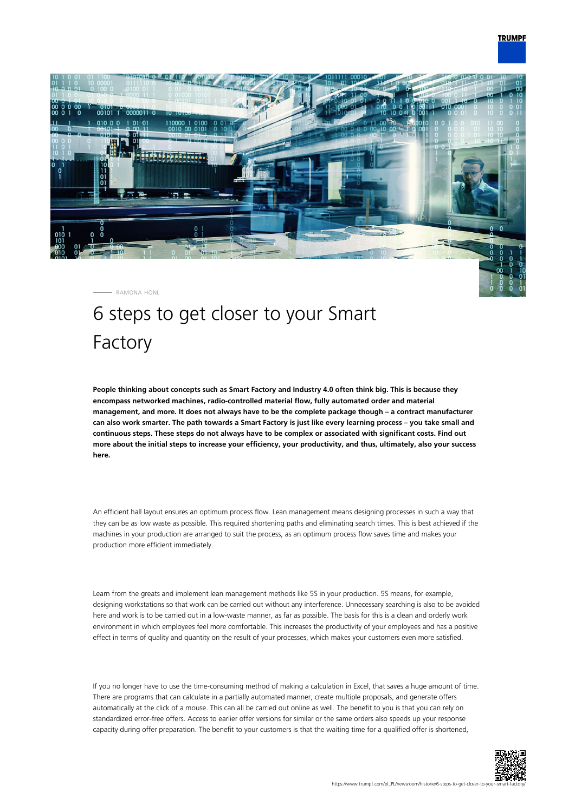

RAMONA HÖNL

## 6 steps to get closer to your Smart Factory

**People thinking about concepts such as Smart Factory and Industry 4.0 often think big. This is because they encompass networked machines, radio-controlled material flow, fully automated order and material management, and more. It does not always have to be the complete package though – a contract manufacturer can also work smarter. The path towards a Smart Factory is just like every learning process – you take small and continuous steps. These steps do not always have to be complex or associated with significant costs. Find out more about the initial steps to increase your efficiency, your productivity, and thus, ultimately, also your success here.**

An efficient hall layout ensures an optimum process flow. Lean management means designing processes in such a way that they can be as low waste as possible. This required shortening paths and eliminating search times. This is best achieved if the machines in your production are arranged to suit the process, as an optimum process flow saves time and makes your production more efficient immediately.

Learn from the greats and implement lean management methods like 5S in your production. 5S means, for example, designing workstations so that work can be carried out without any interference. Unnecessary searching is also to be avoided here and work is to be carried out in a low-waste manner, as far as possible. The basis for this is a clean and orderly work environment in which employees feel more comfortable. This increases the productivity of your employees and has a positive effect in terms of quality and quantity on the result of your processes, which makes your customers even more satisfied.

If you no longer have to use the time-consuming method of making a calculation in Excel, that saves a huge amount of time. There are programs that can calculate in a partially automated manner, create multiple proposals, and generate offers automatically at the click of a mouse. This can all be carried out online as well. The benefit to you is that you can rely on standardized error-free offers. Access to earlier offer versions for similar or the same orders also speeds up your response capacity during offer preparation. The benefit to your customers is that the waiting time for a qualified offer is shortened,